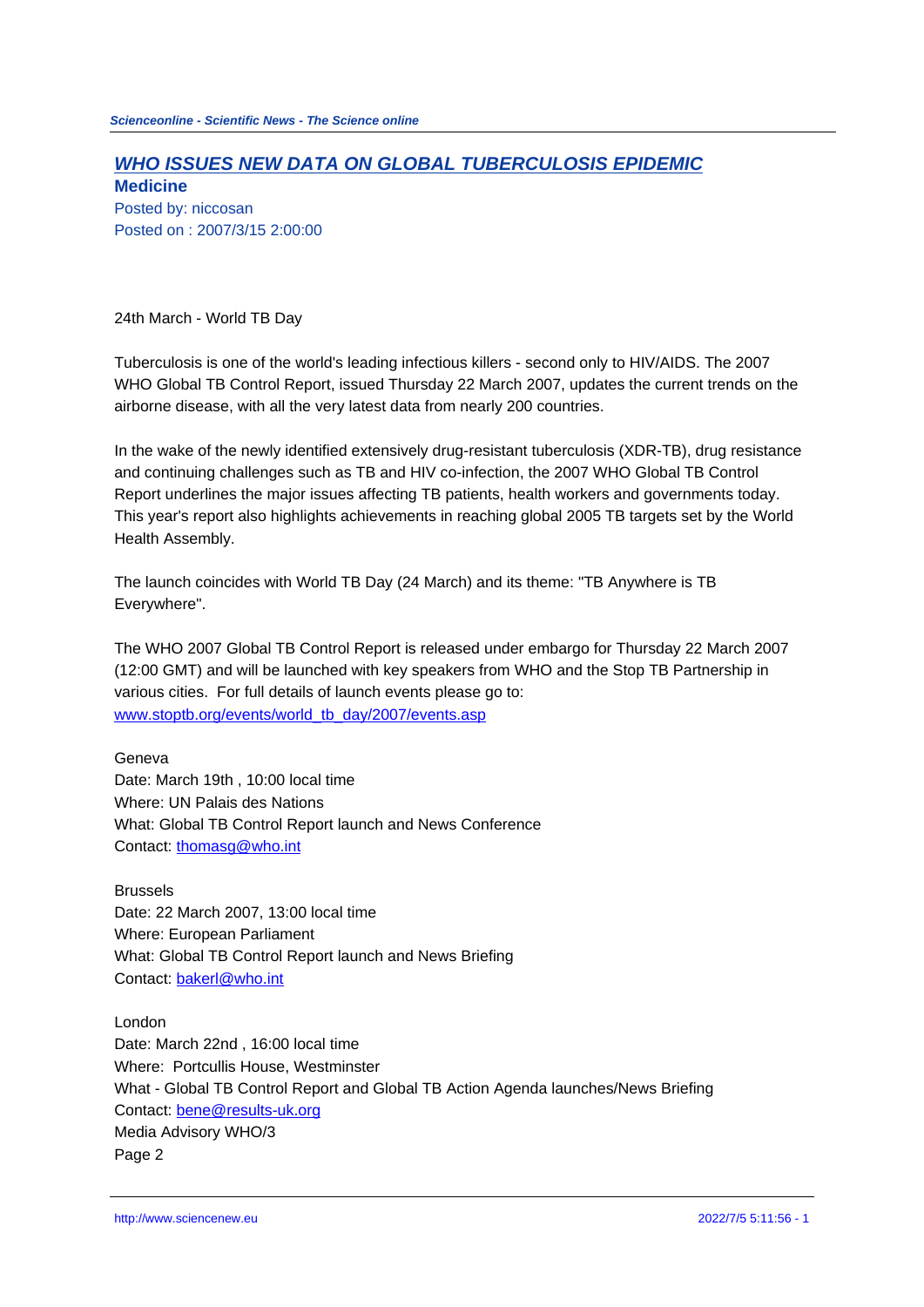## **WHO ISSUES NEW DATA ON GLOBAL TUBERCULOSIS EPIDEMIC**

**Medicine** Posted by: niccosan Posted on : 2007/3/15 2:00:00

24th March - World TB Day

Tuberculosis is one of the world's leading infectious killers - second only to HIV/AIDS. The 2007 WHO Global TB Control Report, issued Thursday 22 March 2007, updates the current trends on the airborne disease, with all the very latest data from nearly 200 countries.

In the wake of the newly identified extensively drug-resistant tuberculosis (XDR-TB), drug resistance and continuing challenges such as TB and HIV co-infection, the 2007 WHO Global TB Control Report underlines the major issues affecting TB patients, health workers and governments today. This year's report also highlights achievements in reaching global 2005 TB targets set by the World Health Assembly.

The launch coincides with World TB Day (24 March) and its theme: "TB Anywhere is TB Everywhere".

The WHO 2007 Global TB Control Report is released under embargo for Thursday 22 March 2007 (12:00 GMT) and will be launched with key speakers from WHO and the Stop TB Partnership in various cities. For full details of launch events please go to: www.stoptb.org/events/world\_tb\_day/2007/events.asp

Geneva Date: March 19th , 10:00 local time [Where: UN Palais des Nations](http://www.stoptb.org/events/world_tb_day/2007/events.asp)  What: Global TB Control Report launch and News Conference Contact: thomasg@who.int

Brussels Date: 22 March 2007, 13:00 local time Where: [European Parliame](mailto:thomasg@who.int)nt What: Global TB Control Report launch and News Briefing Contact: bakerl@who.int

London Date: March 22nd , 16:00 local time Where: [Portcullis House](mailto:bakerl@who.int), Westminster What - Global TB Control Report and Global TB Action Agenda launches/News Briefing Contact: bene@results-uk.org Media Advisory WHO/3 Page 2